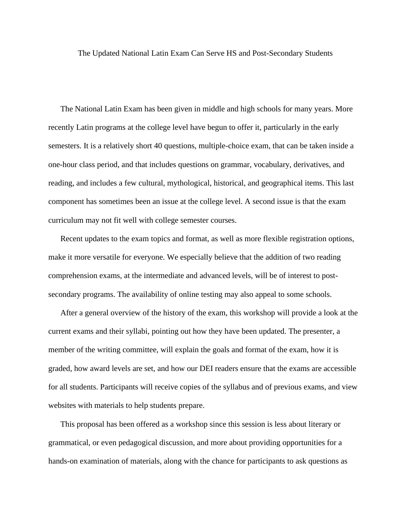The Updated National Latin Exam Can Serve HS and Post-Secondary Students

The National Latin Exam has been given in middle and high schools for many years. More recently Latin programs at the college level have begun to offer it, particularly in the early semesters. It is a relatively short 40 questions, multiple-choice exam, that can be taken inside a one-hour class period, and that includes questions on grammar, vocabulary, derivatives, and reading, and includes a few cultural, mythological, historical, and geographical items. This last component has sometimes been an issue at the college level. A second issue is that the exam curriculum may not fit well with college semester courses.

Recent updates to the exam topics and format, as well as more flexible registration options, make it more versatile for everyone. We especially believe that the addition of two reading comprehension exams, at the intermediate and advanced levels, will be of interest to postsecondary programs. The availability of online testing may also appeal to some schools.

After a general overview of the history of the exam, this workshop will provide a look at the current exams and their syllabi, pointing out how they have been updated. The presenter, a member of the writing committee, will explain the goals and format of the exam, how it is graded, how award levels are set, and how our DEI readers ensure that the exams are accessible for all students. Participants will receive copies of the syllabus and of previous exams, and view websites with materials to help students prepare.

This proposal has been offered as a workshop since this session is less about literary or grammatical, or even pedagogical discussion, and more about providing opportunities for a hands-on examination of materials, along with the chance for participants to ask questions as